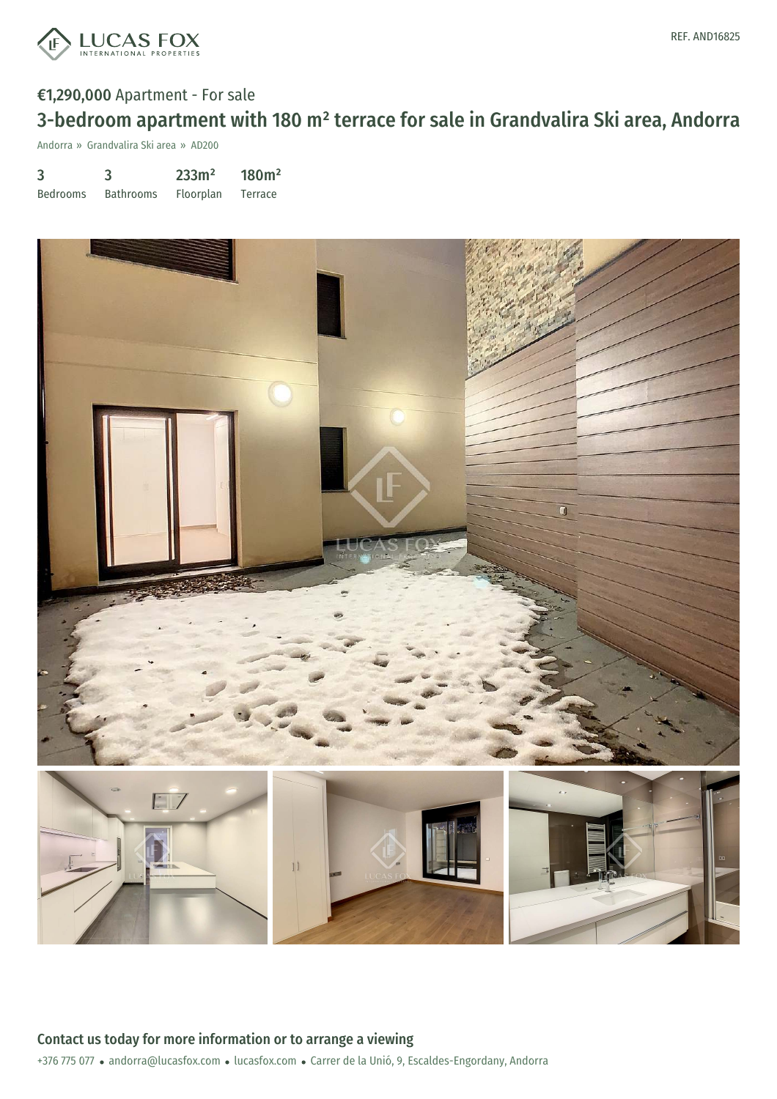

# €1,290,000 Apartment - For sale 3-bedroom apartment with 180 m² terrace for sale in Grandvalira Ski area, Andorra

Andorra » Grandvalira Ski area » AD200

3 Bedrooms 3 Bathrooms 233m² Floorplan 180m² Terrace

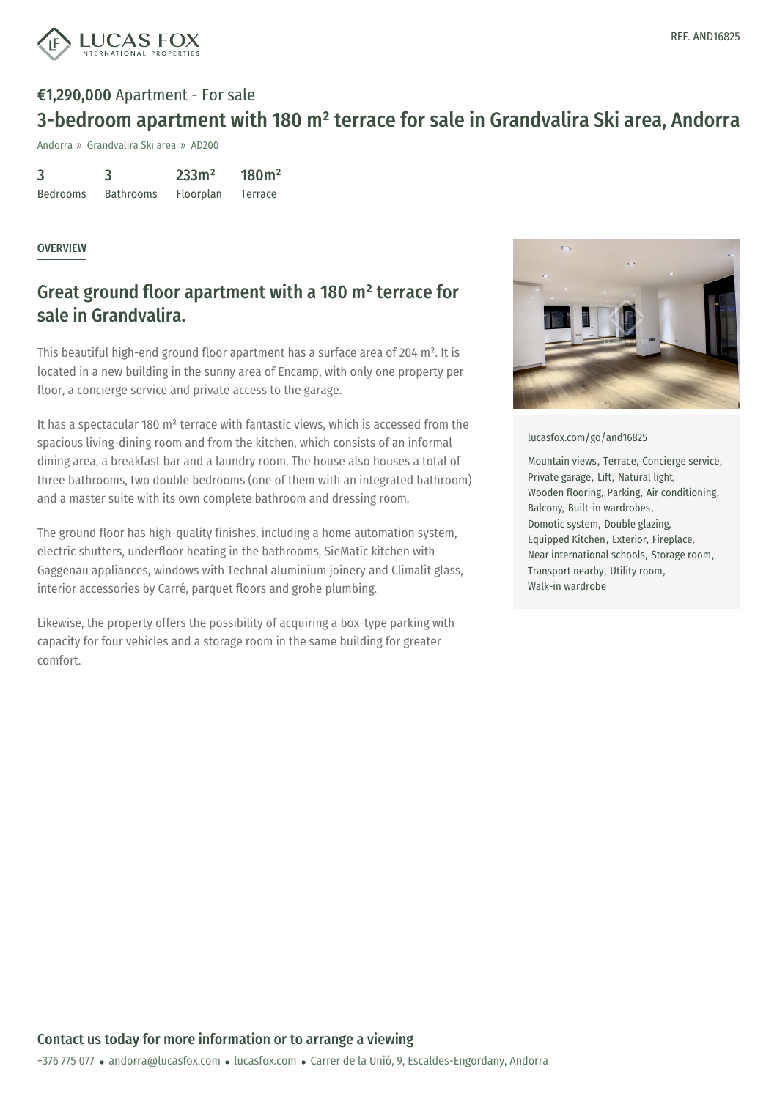

# €1,290,000 Apartment - For sale 3-bedroom apartment with 180 m² terrace for sale in Grandvalira Ski area, Andorra

Andorra » Grandvalira Ski area » AD200

| 3               | 3                | 233m <sup>2</sup> | 180m <sup>2</sup> |
|-----------------|------------------|-------------------|-------------------|
| <b>Bedrooms</b> | <b>Bathrooms</b> | Floorplan         | Terrace           |

#### OVERVIEW

# Great ground floor apartment with a 180 m² terrace for sale in Grandvalira.

This beautiful high-end ground floor apartment has a surface area of 204 m². It is located in a new building in the sunny area of Encamp, with only one property per floor, a concierge service and private access to the garage.

It has a spectacular 180 m² terrace with fantastic views, which is accessed from the spacious living-dining room and from the kitchen, which consists of an informal dining area, a breakfast bar and a laundry room. The house also houses a total of three bathrooms, two double bedrooms (one of them with an integrated bathroom) and a master suite with its own complete bathroom and dressing room.

The ground floor has high-quality finishes, including a home automation system, electric shutters, underfloor heating in the bathrooms, SieMatic kitchen with Gaggenau appliances, windows with Technal aluminium joinery and Climalit glass, interior accessories by Carré, parquet floors and grohe plumbing.

Likewise, the property offers the possibility of acquiring a box-type parking with capacity for four vehicles and a storage room in the same building for greater comfort.



[lucasfox.com/go/and16825](https://www.lucasfox.com/go/and16825)

Mountain views, Terrace, Concierge service, Private garage, Lift, Natural light, Wooden flooring, Parking, Air conditioning, Balcony, Built-in wardrobes, Domotic system, Double glazing, Equipped Kitchen, Exterior, Fireplace, Near international schools, Storage room, Transport nearby, Utility room, Walk-in wardrobe